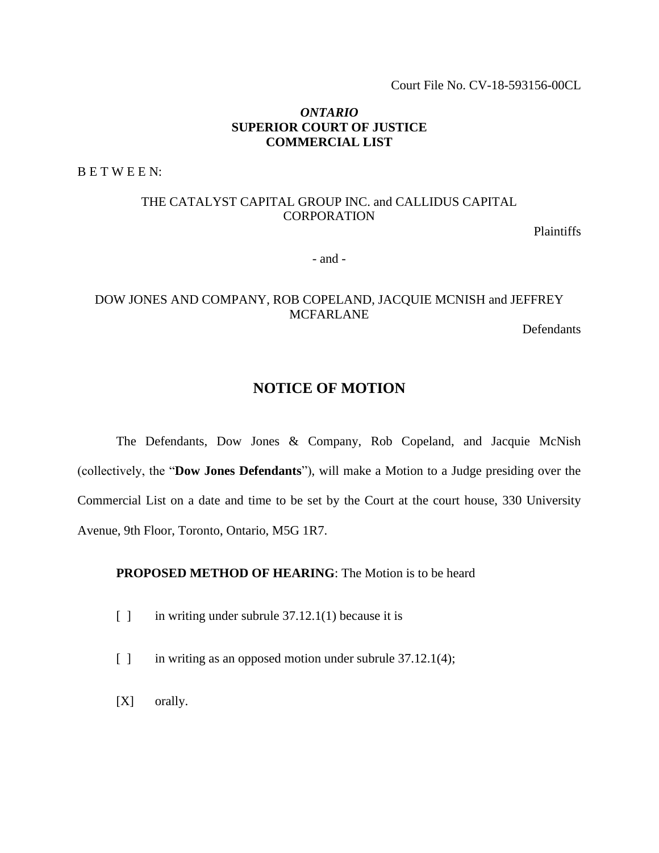Court File No. CV-18-593156-00CL

## *ONTARIO* **SUPERIOR COURT OF JUSTICE COMMERCIAL LIST**

B E T W E E N:

# THE CATALYST CAPITAL GROUP INC. and CALLIDUS CAPITAL CORPORATION

Plaintiffs

- and -

# DOW JONES AND COMPANY, ROB COPELAND, JACQUIE MCNISH and JEFFREY MCFARLANE

Defendants

# **NOTICE OF MOTION**

The Defendants, Dow Jones & Company, Rob Copeland, and Jacquie McNish (collectively, the "**Dow Jones Defendants**"), will make a Motion to a Judge presiding over the Commercial List on a date and time to be set by the Court at the court house, 330 University Avenue, 9th Floor, Toronto, Ontario, M5G 1R7.

## **PROPOSED METHOD OF HEARING**: The Motion is to be heard

- $\lceil \cdot \rceil$  in writing under subrule 37.12.1(1) because it is
- [ ] in writing as an opposed motion under subrule 37.12.1(4);
- [X] orally.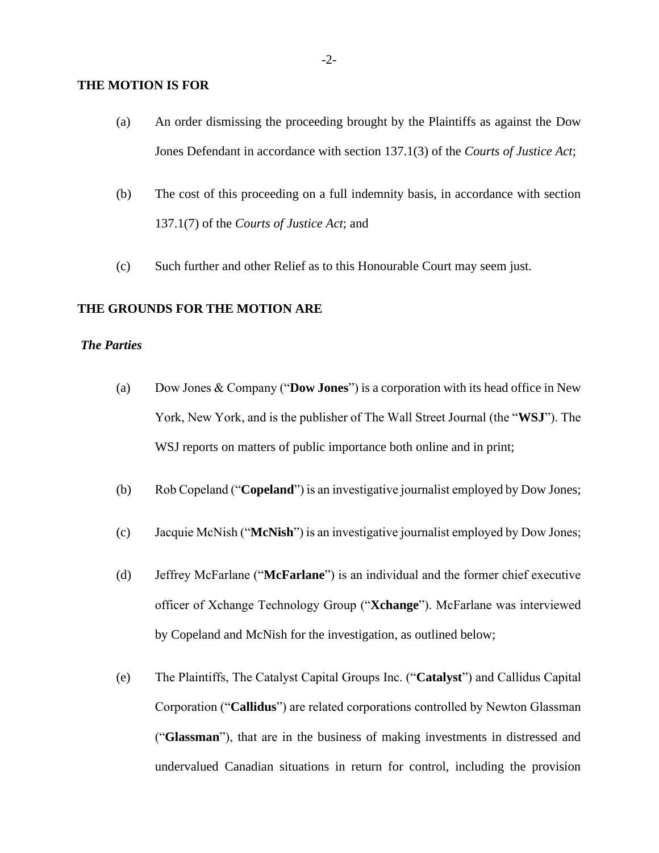#### **THE MOTION IS FOR**

- (a) An order dismissing the proceeding brought by the Plaintiffs as against the Dow Jones Defendant in accordance with section 137.1(3) of the *Courts of Justice Act*;
- (b) The cost of this proceeding on a full indemnity basis, in accordance with section 137.1(7) of the *Courts of Justice Act*; and
- (c) Such further and other Relief as to this Honourable Court may seem just.

## **THE GROUNDS FOR THE MOTION ARE**

## *The Parties*

- (a) Dow Jones & Company ("**Dow Jones**") is a corporation with its head office in New York, New York, and is the publisher of The Wall Street Journal (the "**WSJ**"). The WSJ reports on matters of public importance both online and in print;
- (b) Rob Copeland ("**Copeland**") is an investigative journalist employed by Dow Jones;
- (c) Jacquie McNish ("**McNish**") is an investigative journalist employed by Dow Jones;
- (d) Jeffrey McFarlane ("**McFarlane**") is an individual and the former chief executive officer of Xchange Technology Group ("**Xchange**"). McFarlane was interviewed by Copeland and McNish for the investigation, as outlined below;
- (e) The Plaintiffs, The Catalyst Capital Groups Inc. ("**Catalyst**") and Callidus Capital Corporation ("**Callidus**") are related corporations controlled by Newton Glassman ("**Glassman**"), that are in the business of making investments in distressed and undervalued Canadian situations in return for control, including the provision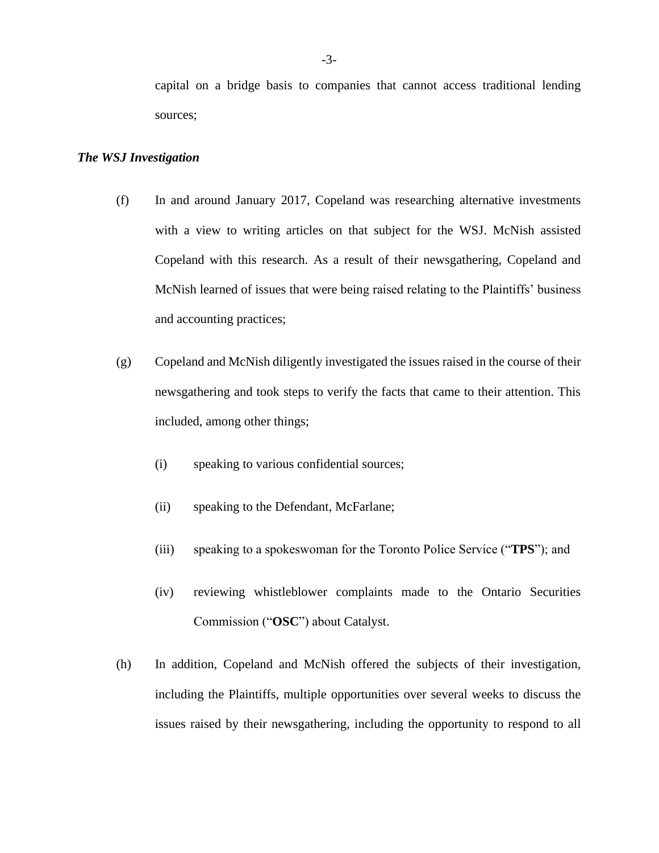#### *The WSJ Investigation*

- (f) In and around January 2017, Copeland was researching alternative investments with a view to writing articles on that subject for the WSJ. McNish assisted Copeland with this research. As a result of their newsgathering, Copeland and McNish learned of issues that were being raised relating to the Plaintiffs' business and accounting practices;
- (g) Copeland and McNish diligently investigated the issues raised in the course of their newsgathering and took steps to verify the facts that came to their attention. This included, among other things;
	- (i) speaking to various confidential sources;
	- (ii) speaking to the Defendant, McFarlane;
	- (iii) speaking to a spokeswoman for the Toronto Police Service ("**TPS**"); and
	- (iv) reviewing whistleblower complaints made to the Ontario Securities Commission ("**OSC**") about Catalyst.
- (h) In addition, Copeland and McNish offered the subjects of their investigation, including the Plaintiffs, multiple opportunities over several weeks to discuss the issues raised by their newsgathering, including the opportunity to respond to all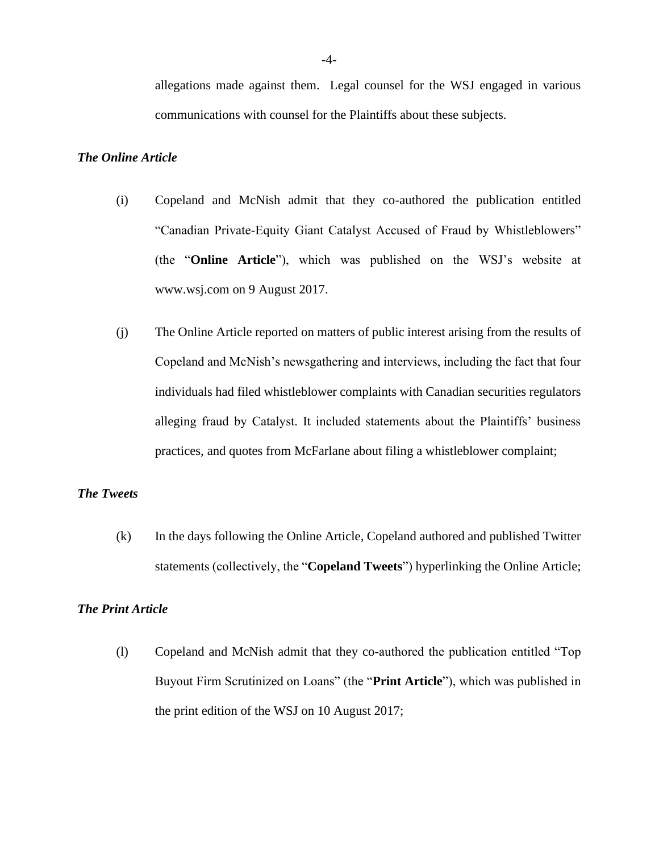allegations made against them. Legal counsel for the WSJ engaged in various communications with counsel for the Plaintiffs about these subjects.

#### *The Online Article*

- (i) Copeland and McNish admit that they co-authored the publication entitled "Canadian Private-Equity Giant Catalyst Accused of Fraud by Whistleblowers" (the "**Online Article**"), which was published on the WSJ's website at www.wsj.com on 9 August 2017.
- (j) The Online Article reported on matters of public interest arising from the results of Copeland and McNish's newsgathering and interviews, including the fact that four individuals had filed whistleblower complaints with Canadian securities regulators alleging fraud by Catalyst. It included statements about the Plaintiffs' business practices, and quotes from McFarlane about filing a whistleblower complaint;

## *The Tweets*

(k) In the days following the Online Article, Copeland authored and published Twitter statements (collectively, the "**Copeland Tweets**") hyperlinking the Online Article;

#### *The Print Article*

(l) Copeland and McNish admit that they co-authored the publication entitled "Top Buyout Firm Scrutinized on Loans" (the "**Print Article**"), which was published in the print edition of the WSJ on 10 August 2017;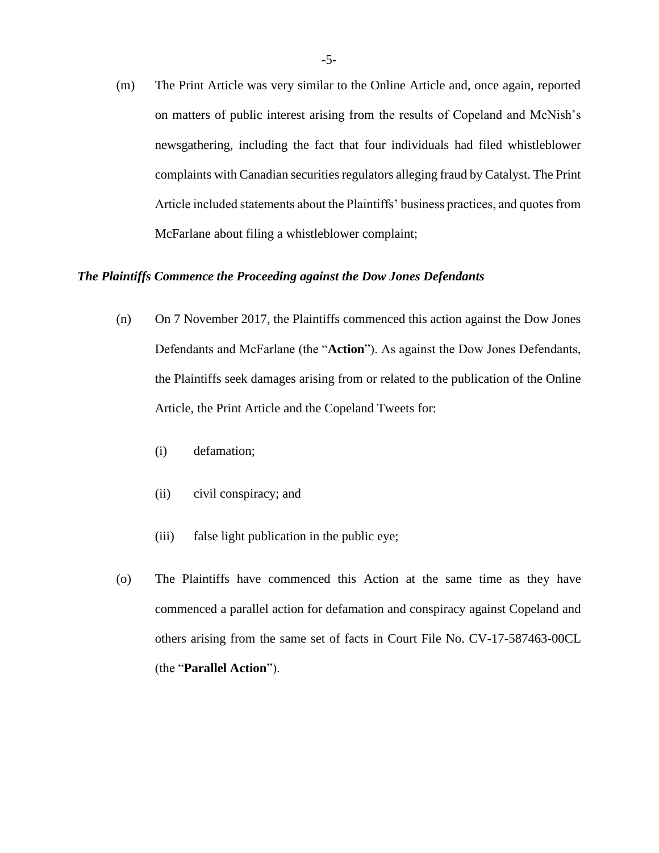(m) The Print Article was very similar to the Online Article and, once again, reported on matters of public interest arising from the results of Copeland and McNish's newsgathering, including the fact that four individuals had filed whistleblower complaints with Canadian securities regulators alleging fraud by Catalyst. The Print Article included statements about the Plaintiffs' business practices, and quotes from McFarlane about filing a whistleblower complaint;

#### *The Plaintiffs Commence the Proceeding against the Dow Jones Defendants*

- (n) On 7 November 2017, the Plaintiffs commenced this action against the Dow Jones Defendants and McFarlane (the "**Action**"). As against the Dow Jones Defendants, the Plaintiffs seek damages arising from or related to the publication of the Online Article, the Print Article and the Copeland Tweets for:
	- (i) defamation;
	- (ii) civil conspiracy; and
	- (iii) false light publication in the public eye;
- (o) The Plaintiffs have commenced this Action at the same time as they have commenced a parallel action for defamation and conspiracy against Copeland and others arising from the same set of facts in Court File No. CV-17-587463-00CL (the "**Parallel Action**").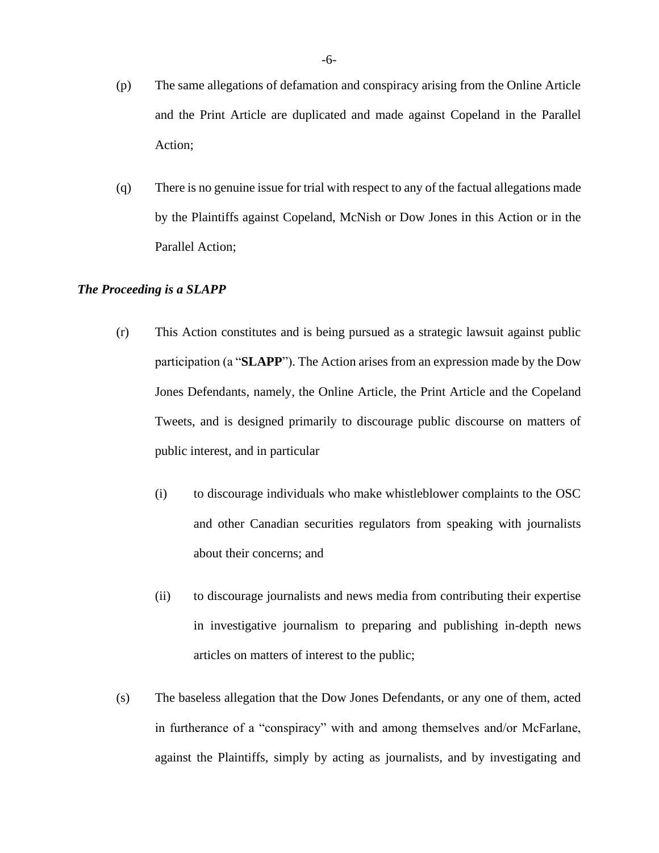- (p) The same allegations of defamation and conspiracy arising from the Online Article and the Print Article are duplicated and made against Copeland in the Parallel Action;
- (q) There is no genuine issue for trial with respect to any of the factual allegations made by the Plaintiffs against Copeland, McNish or Dow Jones in this Action or in the Parallel Action;

## *The Proceeding is a SLAPP*

- (r) This Action constitutes and is being pursued as a strategic lawsuit against public participation (a "**SLAPP**"). The Action arises from an expression made by the Dow Jones Defendants, namely, the Online Article, the Print Article and the Copeland Tweets, and is designed primarily to discourage public discourse on matters of public interest, and in particular
	- (i) to discourage individuals who make whistleblower complaints to the OSC and other Canadian securities regulators from speaking with journalists about their concerns; and
	- (ii) to discourage journalists and news media from contributing their expertise in investigative journalism to preparing and publishing in-depth news articles on matters of interest to the public;
- (s) The baseless allegation that the Dow Jones Defendants, or any one of them, acted in furtherance of a "conspiracy" with and among themselves and/or McFarlane, against the Plaintiffs, simply by acting as journalists, and by investigating and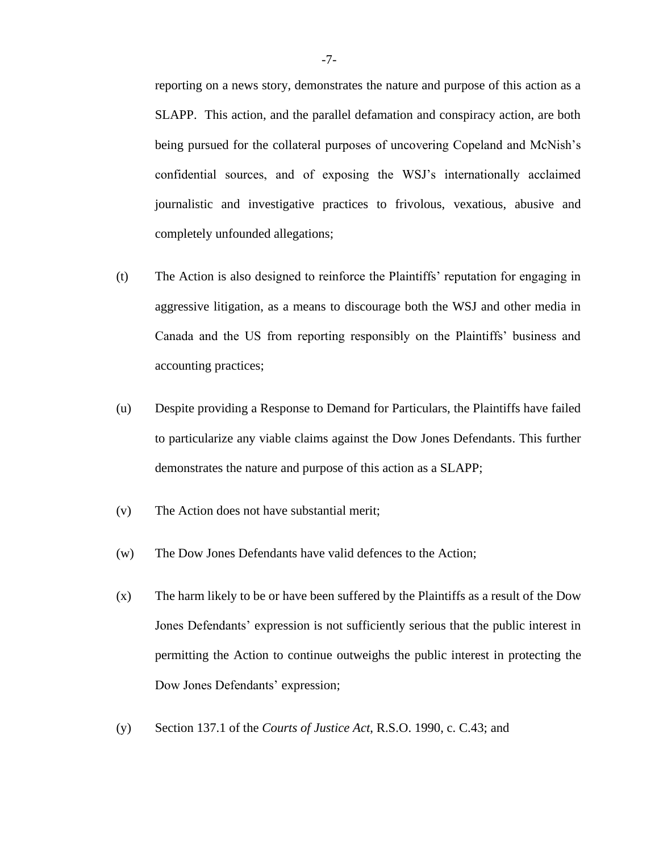reporting on a news story, demonstrates the nature and purpose of this action as a SLAPP. This action, and the parallel defamation and conspiracy action, are both being pursued for the collateral purposes of uncovering Copeland and McNish's confidential sources, and of exposing the WSJ's internationally acclaimed journalistic and investigative practices to frivolous, vexatious, abusive and completely unfounded allegations;

- (t) The Action is also designed to reinforce the Plaintiffs' reputation for engaging in aggressive litigation, as a means to discourage both the WSJ and other media in Canada and the US from reporting responsibly on the Plaintiffs' business and accounting practices;
- (u) Despite providing a Response to Demand for Particulars, the Plaintiffs have failed to particularize any viable claims against the Dow Jones Defendants. This further demonstrates the nature and purpose of this action as a SLAPP;
- (v) The Action does not have substantial merit;
- (w) The Dow Jones Defendants have valid defences to the Action;
- (x) The harm likely to be or have been suffered by the Plaintiffs as a result of the Dow Jones Defendants' expression is not sufficiently serious that the public interest in permitting the Action to continue outweighs the public interest in protecting the Dow Jones Defendants' expression;
- (y) Section 137.1 of the *Courts of Justice Act*, R.S.O. 1990, c. C.43; and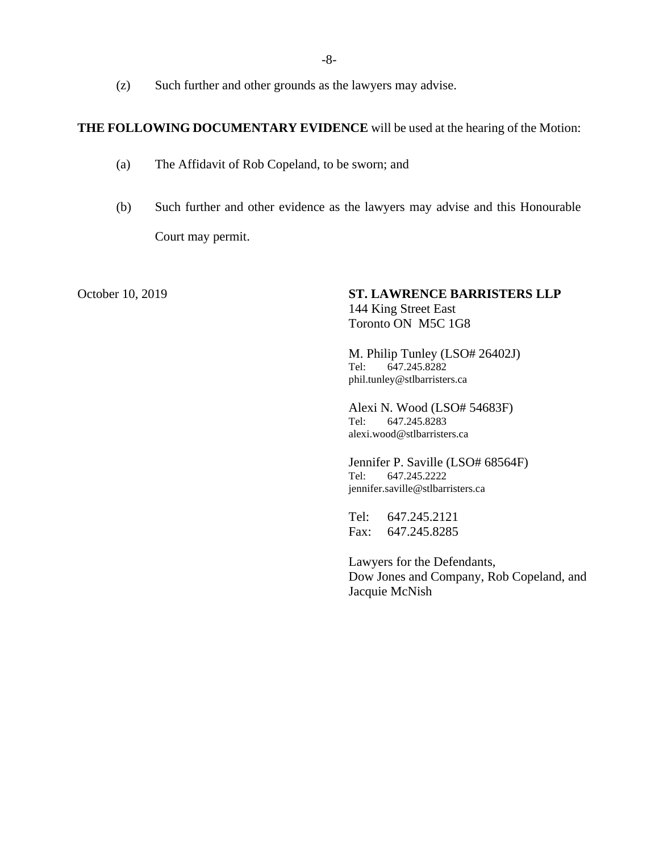(z) Such further and other grounds as the lawyers may advise.

#### **THE FOLLOWING DOCUMENTARY EVIDENCE** will be used at the hearing of the Motion:

- (a) The Affidavit of Rob Copeland, to be sworn; and
- (b) Such further and other evidence as the lawyers may advise and this Honourable Court may permit.

### October 10, 2019 **ST. LAWRENCE BARRISTERS LLP** 144 King Street East Toronto ON M5C 1G8

M. Philip Tunley (LSO# 26402J) Tel: 647.245.8282 phil.tunley@stlbarristers.ca

Alexi N. Wood (LSO# 54683F) Tel: 647.245.8283 alexi.wood@stlbarristers.ca

Jennifer P. Saville (LSO# 68564F) Tel: 647.245.2222 jennifer.saville@stlbarristers.ca

Tel: 647.245.2121 Fax: 647.245.8285

Lawyers for the Defendants, Dow Jones and Company, Rob Copeland, and Jacquie McNish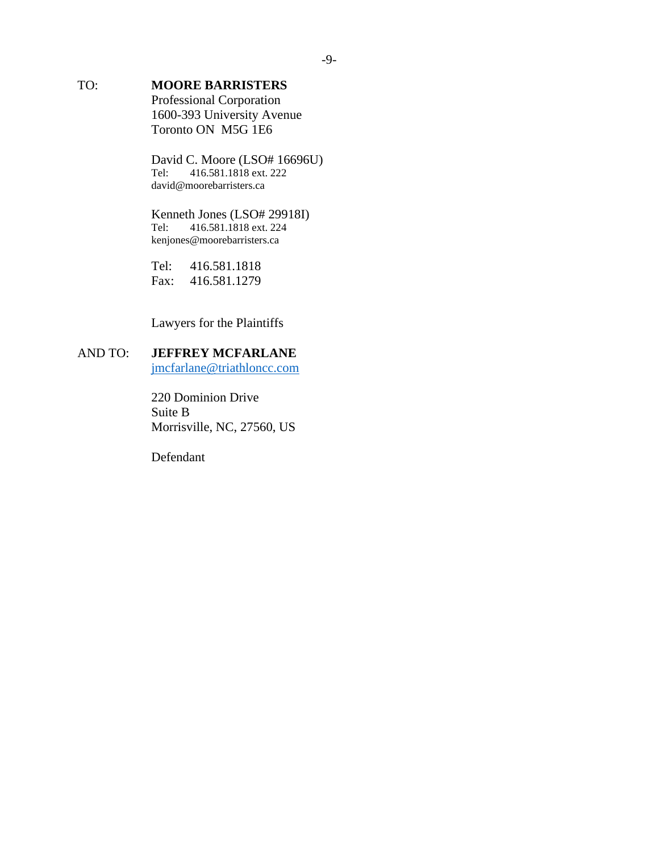# TO: **MOORE BARRISTERS**

Professional Corporation 1600-393 University Avenue Toronto ON M5G 1E6

David C. Moore (LSO# 16696U)<br>Tel: 416.581.1818 ext. 222 416.581.1818 ext. 222 david@moorebarristers.ca

#### Kenneth Jones (LSO# 29918I)<br>Tel: 416.581.1818 ext. 224 Tel: 416.581.1818 ext. 224 kenjones@moorebarristers.ca

Tel: 416.581.1818 Fax: 416.581.1279

Lawyers for the Plaintiffs

## AND TO: **JEFFREY MCFARLANE** [jmcfarlane@triathloncc.com](mailto:jmcfarlane@triathloncc.com)

220 Dominion Drive Suite B Morrisville, NC, 27560, US

Defendant